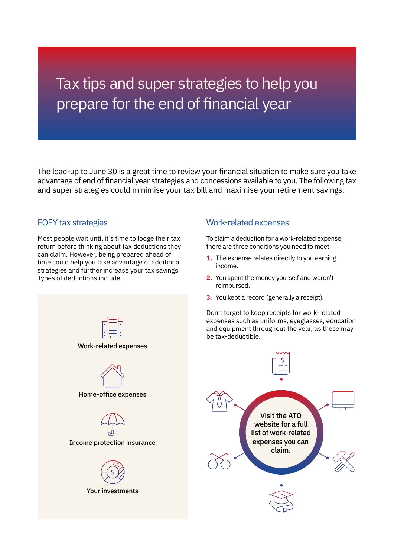# Tax tips and super strategies to help you prepare for the end of financial year

The lead-up to June 30 is a great time to review your financial situation to make sure you take advantage of end of financial year strategies and concessions available to you. The following tax and super strategies could minimise your tax bill and maximise your retirement savings.

# EOFY tax strategies

Most people wait until it's time to lodge their tax return before thinking about tax deductions they can claim. However, being prepared ahead of time could help you take advantage of additional strategies and further increase your tax savings. Types of deductions include:



Home-office expenses

Income protection insurance

Your investments

# Work-related expenses

To claim a deduction for a work-related expense, there are three conditions you need to meet:

- **1.** The expense relates directly to you earning income.
- **2.** You spent the money yourself and weren't reimbursed.
- **3.** You kept a record (generally a receipt).

Don't forget to keep receipts for work-related expenses such as uniforms, eyeglasses, education and equipment throughout the year, as these may be tax-deductible.

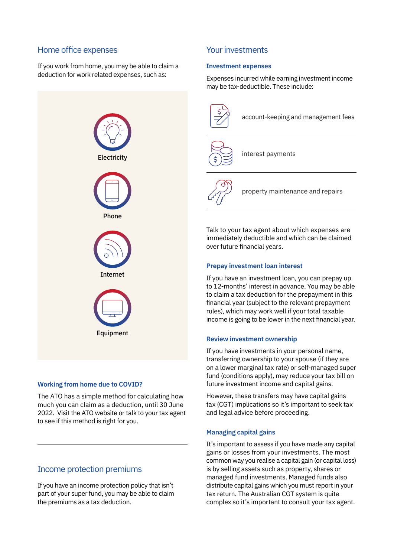## Home office expenses

If you work from home, you may be able to claim a deduction for work related expenses, such as:



## **Working from home due to COVID?**

The ATO has a simple method for calculating how much you can claim as a deduction, until 30 June 2022. Visit the ATO website or talk to your tax agent to see if this method is right for you.

# Income protection premiums

If you have an income protection policy that isn't part of your super fund, you may be able to claim the premiums as a tax deduction.

# Your investments

## **Investment expenses**

Expenses incurred while earning investment income may be tax-deductible. These include:



Talk to your tax agent about which expenses are immediately deductible and which can be claimed over future financial years.

## **Prepay investment loan interest**

If you have an investment loan, you can prepay up to 12-months' interest in advance. You may be able to claim a tax deduction for the prepayment in this financial year (subject to the relevant prepayment rules), which may work well if your total taxable income is going to be lower in the next financial year.

## **Review investment ownership**

If you have investments in your personal name, transferring ownership to your spouse (if they are on a lower marginal tax rate) or self-managed super fund (conditions apply), may reduce your tax bill on future investment income and capital gains.

However, these transfers may have capital gains tax (CGT) implications so it's important to seek tax and legal advice before proceeding.

## **Managing capital gains**

It's important to assess if you have made any capital gains or losses from your investments. The most common way you realise a capital gain (or capital loss) is by selling assets such as property, shares or managed fund investments. Managed funds also distribute capital gains which you must report in your tax return. The Australian CGT system is quite complex so it's important to consult your tax agent.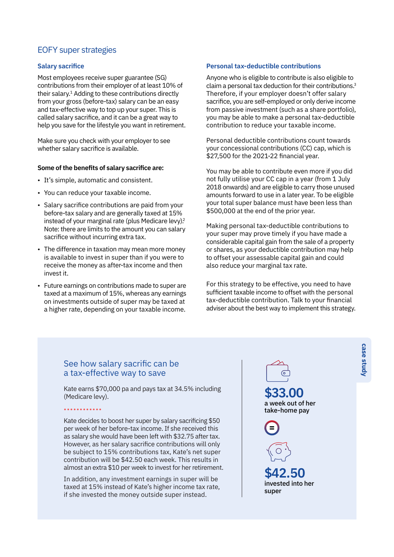## EOFY super strategies

#### **Salary sacrifice**

Most employees receive super guarantee (SG) contributions from their employer of at least 10% of their salary.1 Adding to these contributions directly from your gross (before-tax) salary can be an easy and tax-effective way to top up your super. This is called salary sacrifice, and it can be a great way to help you save for the lifestyle you want in retirement.

Make sure you check with your employer to see whether salary sacrifice is available.

#### **Some of the benefits of salary sacrifice are:**

- It's simple, automatic and consistent.
- You can reduce your taxable income.
- Salary sacrifice contributions are paid from your before-tax salary and are generally taxed at 15% instead of your marginal rate (plus Medicare levy).<sup>2</sup> Note: there are limits to the amount you can salary sacrifice without incurring extra tax.
- The difference in taxation may mean more money is available to invest in super than if you were to receive the money as after-tax income and then invest it.
- Future earnings on contributions made to super are taxed at a maximum of 15%, whereas any earnings on investments outside of super may be taxed at a higher rate, depending on your taxable income.

#### **Personal tax-deductible contributions**

Anyone who is eligible to contribute is also eligible to claim a personal tax deduction for their contributions.3 Therefore, if your employer doesn't offer salary sacrifice, you are self-employed or only derive income from passive investment (such as a share portfolio), you may be able to make a personal tax-deductible contribution to reduce your taxable income.

Personal deductible contributions count towards your concessional contributions (CC) cap, which is \$27,500 for the 2021-22 financial year.

You may be able to contribute even more if you did not fully utilise your CC cap in a year (from 1 July 2018 onwards) and are eligible to carry those unused amounts forward to use in a later year. To be eligible your total super balance must have been less than \$500,000 at the end of the prior year.

Making personal tax-deductible contributions to your super may prove timely if you have made a considerable capital gain from the sale of a property or shares, as your deductible contribution may help to offset your assessable capital gain and could also reduce your marginal tax rate.

For this strategy to be effective, you need to have sufficient taxable income to offset with the personal tax-deductible contribution. Talk to your financial adviser about the best way to implement this strategy.

## See how salary sacrific can be a tax-effective way to save

••••••••••••

Kate earns \$70,000 pa and pays tax at 34.5% including (Medicare levy).

Kate decides to boost her super by salary sacrificing \$50 per week of her before-tax income. If she received this as salary she would have been left with \$32.75 after tax. However, as her salary sacrifice contributions will only be subject to 15% contributions tax, Kate's net super contribution will be \$42.50 each week. This results in almost an extra \$10 per week to invest for her retirement.

In addition, any investment earnings in super will be taxed at 15% instead of Kate's higher income tax rate, if she invested the money outside super instead.

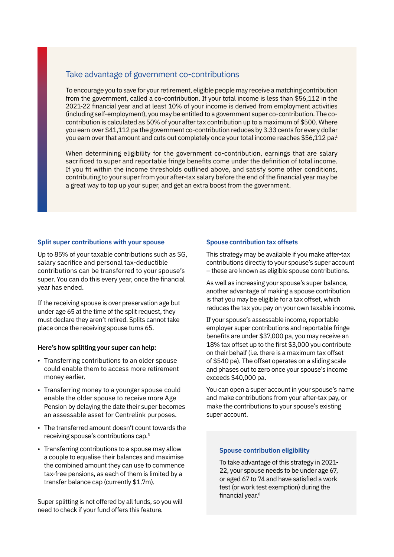# Take advantage of government co-contributions

To encourage you to save for your retirement, eligible people may receive a matching contribution from the government, called a co-contribution. If your total income is less than \$56,112 in the 2021-22 financial year and at least 10% of your income is derived from employment activities (including self-employment), you may be entitled to a government super co-contribution. The cocontribution is calculated as 50% of your after tax contribution up to a maximum of \$500. Where you earn over \$41,112 pa the government co-contribution reduces by 3.33 cents for every dollar you earn over that amount and cuts out completely once your total income reaches \$56,112 pa.<sup>4</sup>

When determining eligibility for the government co-contribution, earnings that are salary sacrificed to super and reportable fringe benefits come under the definition of total income. If you fit within the income thresholds outlined above, and satisfy some other conditions, contributing to your super from your after-tax salary before the end of the financial year may be a great way to top up your super, and get an extra boost from the government.

#### **Split super contributions with your spouse**

Up to 85% of your taxable contributions such as SG, salary sacrifice and personal tax-deductible contributions can be transferred to your spouse's super. You can do this every year, once the financial year has ended.

If the receiving spouse is over preservation age but under age 65 at the time of the split request, they must declare they aren't retired. Splits cannot take place once the receiving spouse turns 65.

#### **Here's how splitting your super can help:**

- Transferring contributions to an older spouse could enable them to access more retirement money earlier.
- Transferring money to a younger spouse could enable the older spouse to receive more Age Pension by delaying the date their super becomes an assessable asset for Centrelink purposes.
- The transferred amount doesn't count towards the receiving spouse's contributions cap.5
- Transferring contributions to a spouse may allow a couple to equalise their balances and maximise the combined amount they can use to commence tax-free pensions, as each of them is limited by a transfer balance cap (currently \$1.7m).

Super splitting is not offered by all funds, so you will need to check if your fund offers this feature.

#### **Spouse contribution tax offsets**

This strategy may be available if you make after-tax contributions directly to your spouse's super account – these are known as eligible spouse contributions.

As well as increasing your spouse's super balance, another advantage of making a spouse contribution is that you may be eligible for a tax offset, which reduces the tax you pay on your own taxable income.

If your spouse's assessable income, reportable employer super contributions and reportable fringe benefits are under \$37,000 pa, you may receive an 18% tax offset up to the first \$3,000 you contribute on their behalf (i.e. there is a maximum tax offset of \$540 pa). The offset operates on a sliding scale and phases out to zero once your spouse's income exceeds \$40,000 pa.

You can open a super account in your spouse's name and make contributions from your after-tax pay, or make the contributions to your spouse's existing super account.

#### **Spouse contribution eligibility**

To take advantage of this strategy in 2021- 22, your spouse needs to be under age 67, or aged 67 to 74 and have satisfied a work test (or work test exemption) during the financial year.<sup>6</sup>